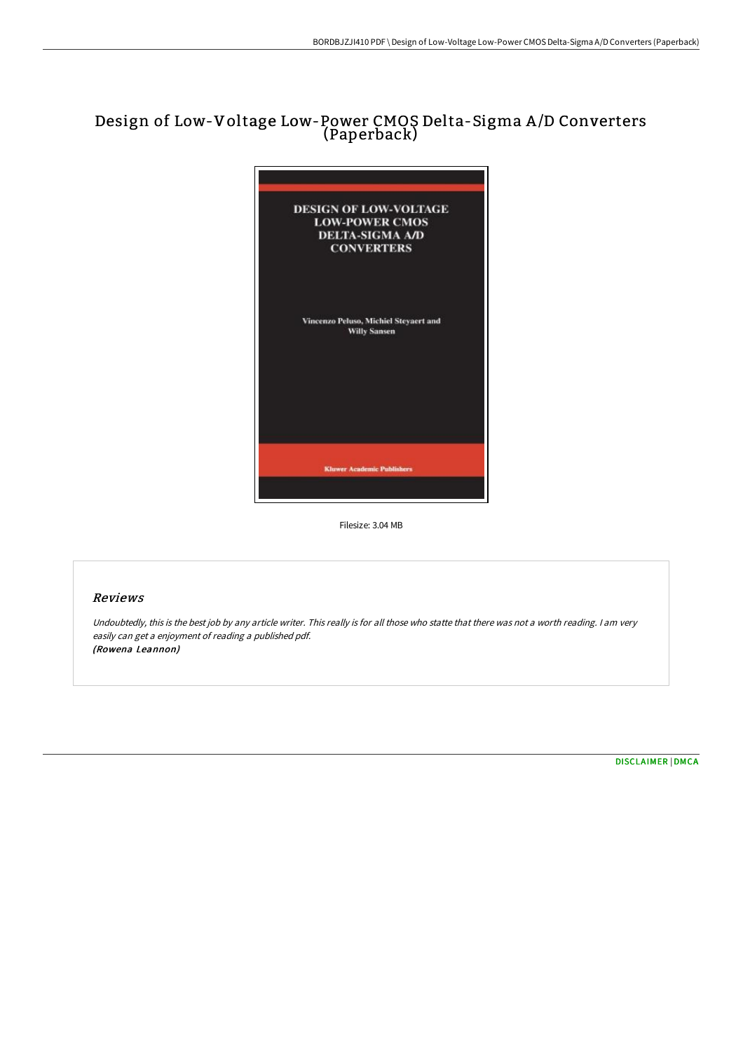# Design of Low-Voltage Low-Power CMOS Delta-Sigma A /D Converters (Paperback)



Filesize: 3.04 MB

## Reviews

Undoubtedly, this is the best job by any article writer. This really is for all those who statte that there was not <sup>a</sup> worth reading. <sup>I</sup> am very easily can get <sup>a</sup> enjoyment of reading <sup>a</sup> published pdf. (Rowena Leannon)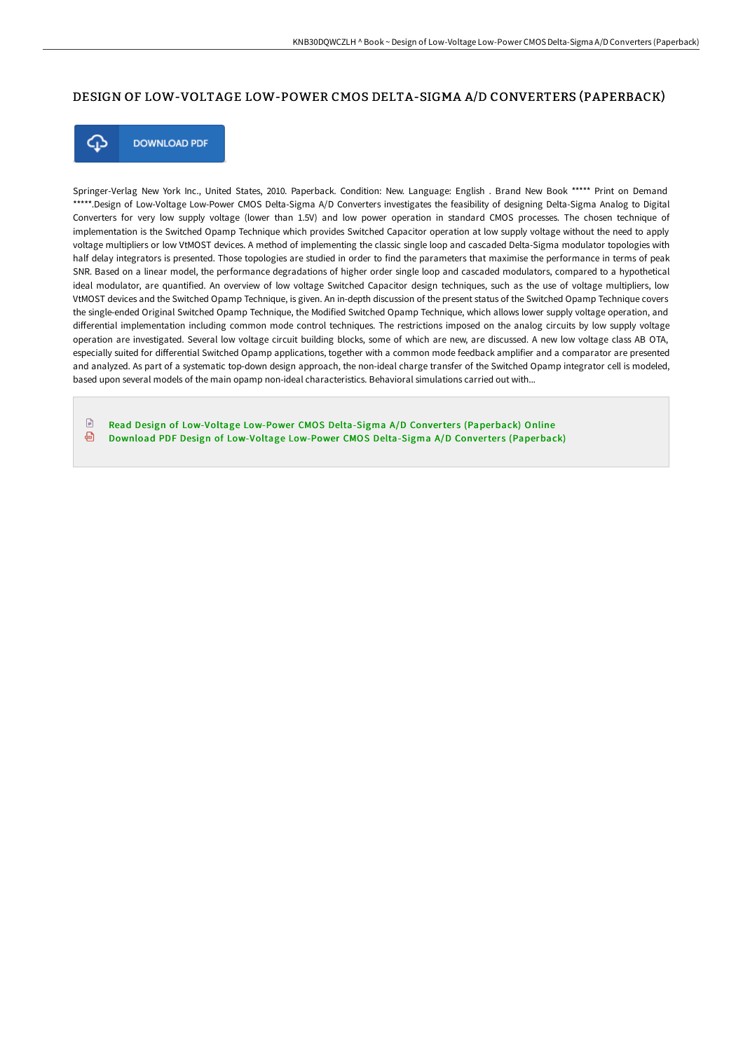### DESIGN OF LOW-VOLTAGE LOW-POWER CMOS DELTA-SIGMA A/D CONVERTERS (PAPERBACK)



**DOWNLOAD PDF** 

Springer-Verlag New York Inc., United States, 2010. Paperback. Condition: New. Language: English . Brand New Book \*\*\*\*\* Print on Demand \*\*\*\*\*.Design of Low-Voltage Low-Power CMOS Delta-Sigma A/D Converters investigates the feasibility of designing Delta-Sigma Analog to Digital Converters for very low supply voltage (lower than 1.5V) and low power operation in standard CMOS processes. The chosen technique of implementation is the Switched Opamp Technique which provides Switched Capacitor operation at low supply voltage without the need to apply voltage multipliers or low VtMOST devices. A method of implementing the classic single loop and cascaded Delta-Sigma modulator topologies with half delay integrators is presented. Those topologies are studied in order to find the parameters that maximise the performance in terms of peak SNR. Based on a linear model, the performance degradations of higher order single loop and cascaded modulators, compared to a hypothetical ideal modulator, are quantified. An overview of low voltage Switched Capacitor design techniques, such as the use of voltage multipliers, low VtMOST devices and the Switched Opamp Technique, is given. An in-depth discussion of the present status of the Switched Opamp Technique covers the single-ended Original Switched Opamp Technique, the Modified Switched Opamp Technique, which allows lower supply voltage operation, and diFerential implementation including common mode control techniques. The restrictions imposed on the analog circuits by low supply voltage operation are investigated. Several low voltage circuit building blocks, some of which are new, are discussed. A new low voltage class AB OTA, especially suited for diFerential Switched Opamp applications, together with a common mode feedback amplifier and a comparator are presented and analyzed. As part of a systematic top-down design approach, the non-ideal charge transfer of the Switched Opamp integrator cell is modeled, based upon several models of the main opamp non-ideal characteristics. Behavioral simulations carried out with...

 $\mathbb{R}$ Read Design of [Low-Voltage](http://techno-pub.tech/design-of-low-voltage-low-power-cmos-delta-sigma-1.html) Low-Power CMOS Delta-Sigma A/D Converters (Paperback) Online ⊕ Download PDF Design of [Low-Voltage](http://techno-pub.tech/design-of-low-voltage-low-power-cmos-delta-sigma-1.html) Low-Power CMOS Delta-Sigma A/D Converters (Paperback)